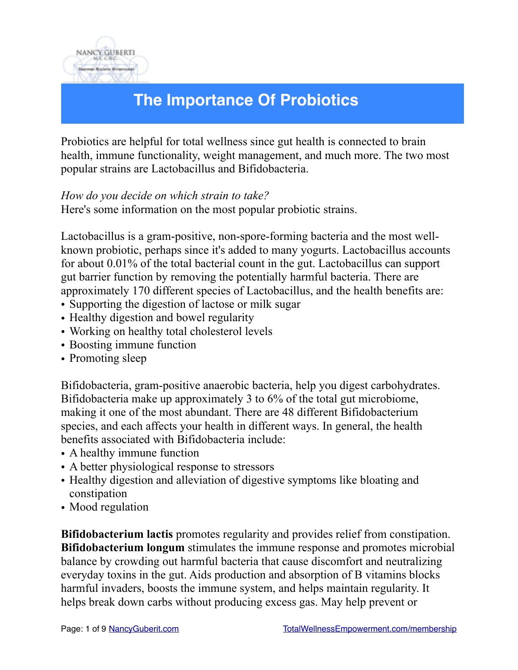

# **The Importance Of Probiotics**

Probiotics are helpful for total wellness since gut health is connected to brain health, immune functionality, weight management, and much more. The two most popular strains are Lactobacillus and Bifidobacteria.

#### *How do you decide on which strain to take?*

Here's some information on the most popular probiotic strains.

Lactobacillus is a gram-positive, non-spore-forming bacteria and the most wellknown probiotic, perhaps since it's added to many yogurts. Lactobacillus accounts for about 0.01% of the total bacterial count in the gut. Lactobacillus can support gut barrier function by removing the potentially harmful bacteria. There are approximately 170 different species of Lactobacillus, and the health benefits are:

- Supporting the digestion of lactose or milk sugar
- Healthy digestion and bowel regularity
- Working on healthy total cholesterol levels
- Boosting immune function
- Promoting sleep

Bifidobacteria, gram-positive anaerobic bacteria, help you digest carbohydrates. Bifidobacteria make up approximately 3 to 6% of the total gut microbiome, making it one of the most abundant. There are 48 different Bifidobacterium species, and each affects your health in different ways. In general, the health benefits associated with Bifidobacteria include:

- A healthy immune function
- A better physiological response to stressors
- Healthy digestion and alleviation of digestive symptoms like bloating and constipation
- Mood regulation

**Bifidobacterium lactis** promotes regularity and provides relief from constipation. **Bifidobacterium longum** stimulates the immune response and promotes microbial balance by crowding out harmful bacteria that cause discomfort and neutralizing everyday toxins in the gut. Aids production and absorption of B vitamins blocks harmful invaders, boosts the immune system, and helps maintain regularity. It helps break down carbs without producing excess gas. May help prevent or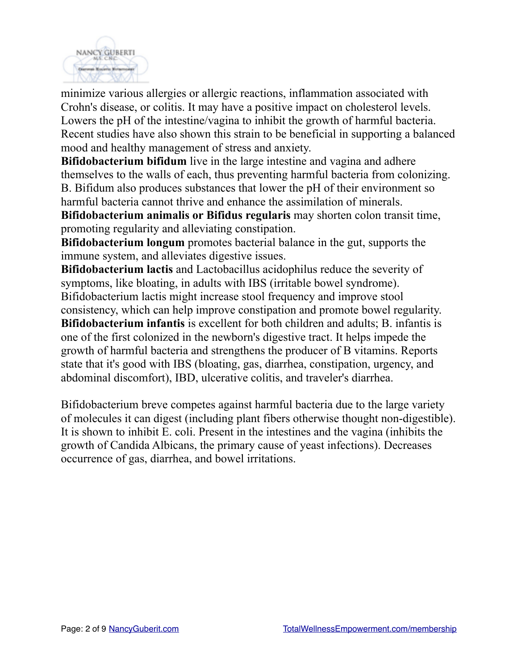

minimize various allergies or allergic reactions, inflammation associated with Crohn's disease, or colitis. It may have a positive impact on cholesterol levels. Lowers the pH of the intestine/vagina to inhibit the growth of harmful bacteria. Recent studies have also shown this strain to be beneficial in supporting a balanced mood and healthy management of stress and anxiety.

**Bifidobacterium bifidum** live in the large intestine and vagina and adhere themselves to the walls of each, thus preventing harmful bacteria from colonizing. B. Bifidum also produces substances that lower the pH of their environment so harmful bacteria cannot thrive and enhance the assimilation of minerals.

**Bifidobacterium animalis or Bifidus regularis** may shorten colon transit time, promoting regularity and alleviating constipation.

**Bifidobacterium longum** promotes bacterial balance in the gut, supports the immune system, and alleviates digestive issues.

**Bifidobacterium lactis** and Lactobacillus acidophilus reduce the severity of symptoms, like bloating, in adults with IBS (irritable bowel syndrome). Bifidobacterium lactis might increase stool frequency and improve stool consistency, which can help improve constipation and promote bowel regularity. **Bifidobacterium infantis** is excellent for both children and adults; B. infantis is one of the first colonized in the newborn's digestive tract. It helps impede the growth of harmful bacteria and strengthens the producer of B vitamins. Reports state that it's good with IBS (bloating, gas, diarrhea, constipation, urgency, and abdominal discomfort), IBD, ulcerative colitis, and traveler's diarrhea.

Bifidobacterium breve competes against harmful bacteria due to the large variety of molecules it can digest (including plant fibers otherwise thought non-digestible). It is shown to inhibit E. coli. Present in the intestines and the vagina (inhibits the growth of Candida Albicans, the primary cause of yeast infections). Decreases occurrence of gas, diarrhea, and bowel irritations.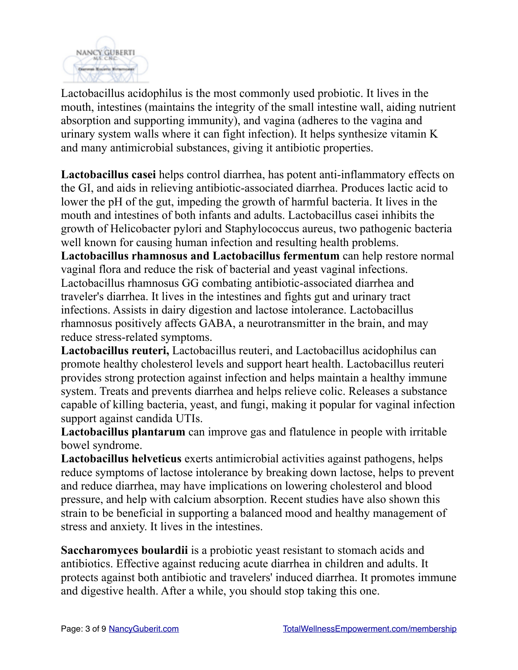

Lactobacillus acidophilus is the most commonly used probiotic. It lives in the mouth, intestines (maintains the integrity of the small intestine wall, aiding nutrient absorption and supporting immunity), and vagina (adheres to the vagina and urinary system walls where it can fight infection). It helps synthesize vitamin K and many antimicrobial substances, giving it antibiotic properties.

**Lactobacillus casei** helps control diarrhea, has potent anti-inflammatory effects on the GI, and aids in relieving antibiotic-associated diarrhea. Produces lactic acid to lower the pH of the gut, impeding the growth of harmful bacteria. It lives in the mouth and intestines of both infants and adults. Lactobacillus casei inhibits the growth of Helicobacter pylori and Staphylococcus aureus, two pathogenic bacteria well known for causing human infection and resulting health problems.

**Lactobacillus rhamnosus and Lactobacillus fermentum** can help restore normal vaginal flora and reduce the risk of bacterial and yeast vaginal infections. Lactobacillus rhamnosus GG combating antibiotic-associated diarrhea and traveler's diarrhea. It lives in the intestines and fights gut and urinary tract infections. Assists in dairy digestion and lactose intolerance. Lactobacillus rhamnosus positively affects GABA, a neurotransmitter in the brain, and may reduce stress-related symptoms.

**Lactobacillus reuteri,** Lactobacillus reuteri, and Lactobacillus acidophilus can promote healthy cholesterol levels and support heart health. Lactobacillus reuteri provides strong protection against infection and helps maintain a healthy immune system. Treats and prevents diarrhea and helps relieve colic. Releases a substance capable of killing bacteria, yeast, and fungi, making it popular for vaginal infection support against candida UTIs.

**Lactobacillus plantarum** can improve gas and flatulence in people with irritable bowel syndrome.

**Lactobacillus helveticus** exerts antimicrobial activities against pathogens, helps reduce symptoms of lactose intolerance by breaking down lactose, helps to prevent and reduce diarrhea, may have implications on lowering cholesterol and blood pressure, and help with calcium absorption. Recent studies have also shown this strain to be beneficial in supporting a balanced mood and healthy management of stress and anxiety. It lives in the intestines.

**Saccharomyces boulardii** is a probiotic yeast resistant to stomach acids and antibiotics. Effective against reducing acute diarrhea in children and adults. It protects against both antibiotic and travelers' induced diarrhea. It promotes immune and digestive health. After a while, you should stop taking this one.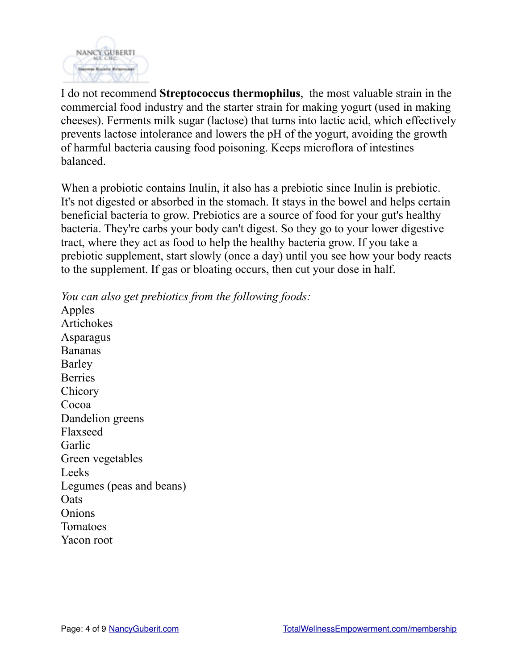

I do not recommend **Streptococcus thermophilus**, the most valuable strain in the commercial food industry and the starter strain for making yogurt (used in making cheeses). Ferments milk sugar (lactose) that turns into lactic acid, which effectively prevents lactose intolerance and lowers the pH of the yogurt, avoiding the growth of harmful bacteria causing food poisoning. Keeps microflora of intestines balanced.

When a probiotic contains Inulin, it also has a prebiotic since Inulin is prebiotic. It's not digested or absorbed in the stomach. It stays in the bowel and helps certain beneficial bacteria to grow. Prebiotics are a source of food for your gut's healthy bacteria. They're carbs your body can't digest. So they go to your lower digestive tract, where they act as food to help the healthy bacteria grow. If you take a prebiotic supplement, start slowly (once a day) until you see how your body reacts to the supplement. If gas or bloating occurs, then cut your dose in half.

*You can also get prebiotics from the following foods:*  Apples Artichokes Asparagus Bananas Barley **Berries Chicory** Cocoa Dandelion greens Flaxseed Garlic Green vegetables Leeks Legumes (peas and beans) **O**ats **Onions** Tomatoes Yacon root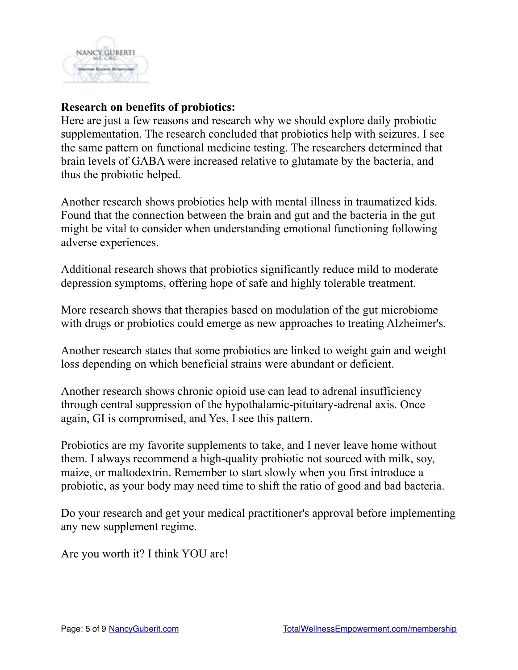

#### **Research on benefits of probiotics:**

Here are just a few reasons and research why we should explore daily probiotic supplementation. The research concluded that probiotics help with seizures. I see the same pattern on functional medicine testing. The researchers determined that brain levels of GABA were increased relative to glutamate by the bacteria, and thus the probiotic helped.

Another research shows probiotics help with mental illness in traumatized kids. Found that the connection between the brain and gut and the bacteria in the gut might be vital to consider when understanding emotional functioning following adverse experiences.

Additional research shows that probiotics significantly reduce mild to moderate depression symptoms, offering hope of safe and highly tolerable treatment.

More research shows that therapies based on modulation of the gut microbiome with drugs or probiotics could emerge as new approaches to treating Alzheimer's.

Another research states that some probiotics are linked to weight gain and weight loss depending on which beneficial strains were abundant or deficient.

Another research shows chronic opioid use can lead to adrenal insufficiency through central suppression of the hypothalamic-pituitary-adrenal axis. Once again, GI is compromised, and Yes, I see this pattern.

Probiotics are my favorite supplements to take, and I never leave home without them. I always recommend a high-quality probiotic not sourced with milk, soy, maize, or maltodextrin. Remember to start slowly when you first introduce a probiotic, as your body may need time to shift the ratio of good and bad bacteria.

Do your research and get your medical practitioner's approval before implementing any new supplement regime.

Are you worth it? I think YOU are!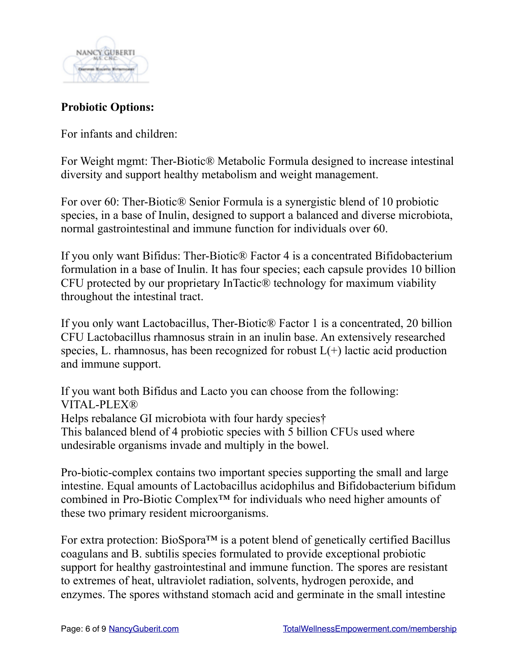

## **Probiotic Options:**

For infants and children:

For Weight mgmt: Ther-Biotic® Metabolic Formula designed to increase intestinal diversity and support healthy metabolism and weight management.

For over 60: Ther-Biotic® Senior Formula is a synergistic blend of 10 probiotic species, in a base of Inulin, designed to support a balanced and diverse microbiota, normal gastrointestinal and immune function for individuals over 60.

If you only want Bifidus: Ther-Biotic® Factor 4 is a concentrated Bifidobacterium formulation in a base of Inulin. It has four species; each capsule provides 10 billion CFU protected by our proprietary InTactic® technology for maximum viability throughout the intestinal tract.

If you only want Lactobacillus, Ther-Biotic® Factor 1 is a concentrated, 20 billion CFU Lactobacillus rhamnosus strain in an inulin base. An extensively researched species, L. rhamnosus, has been recognized for robust  $L(+)$  lactic acid production and immune support.

If you want both Bifidus and Lacto you can choose from the following: VITAL-PLEX® Helps rebalance GI microbiota with four hardy species† This balanced blend of 4 probiotic species with 5 billion CFUs used where undesirable organisms invade and multiply in the bowel.

Pro-biotic-complex contains two important species supporting the small and large intestine. Equal amounts of Lactobacillus acidophilus and Bifidobacterium bifidum combined in Pro-Biotic Complex™ for individuals who need higher amounts of these two primary resident microorganisms.

For extra protection: BioSpora™ is a potent blend of genetically certified Bacillus coagulans and B. subtilis species formulated to provide exceptional probiotic support for healthy gastrointestinal and immune function. The spores are resistant to extremes of heat, ultraviolet radiation, solvents, hydrogen peroxide, and enzymes. The spores withstand stomach acid and germinate in the small intestine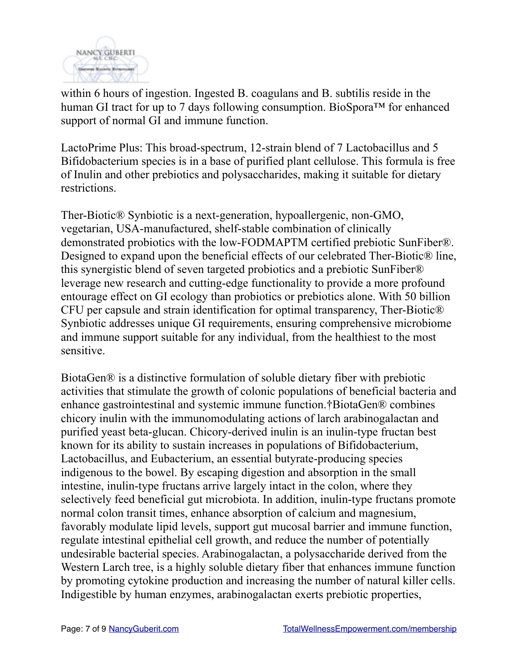

within 6 hours of ingestion. Ingested B. coagulans and B. subtilis reside in the human GI tract for up to 7 days following consumption. BioSpora™ for enhanced support of normal GI and immune function.

LactoPrime Plus: This broad-spectrum, 12-strain blend of 7 Lactobacillus and 5 Bifidobacterium species is in a base of purified plant cellulose. This formula is free of Inulin and other prebiotics and polysaccharides, making it suitable for dietary restrictions.

Ther-Biotic® Synbiotic is a next-generation, hypoallergenic, non-GMO, vegetarian, USA-manufactured, shelf-stable combination of clinically demonstrated probiotics with the low-FODMAPTM certified prebiotic SunFiber®. Designed to expand upon the beneficial effects of our celebrated Ther-Biotic® line, this synergistic blend of seven targeted probiotics and a prebiotic SunFiber® leverage new research and cutting-edge functionality to provide a more profound entourage effect on GI ecology than probiotics or prebiotics alone. With 50 billion CFU per capsule and strain identification for optimal transparency, Ther-Biotic® Synbiotic addresses unique GI requirements, ensuring comprehensive microbiome and immune support suitable for any individual, from the healthiest to the most sensitive.

BiotaGen® is a distinctive formulation of soluble dietary fiber with prebiotic activities that stimulate the growth of colonic populations of beneficial bacteria and enhance gastrointestinal and systemic immune function.†BiotaGen® combines chicory inulin with the immunomodulating actions of larch arabinogalactan and purified yeast beta-glucan. Chicory-derived inulin is an inulin-type fructan best known for its ability to sustain increases in populations of Bifidobacterium, Lactobacillus, and Eubacterium, an essential butyrate-producing species indigenous to the bowel. By escaping digestion and absorption in the small intestine, inulin-type fructans arrive largely intact in the colon, where they selectively feed beneficial gut microbiota. In addition, inulin-type fructans promote normal colon transit times, enhance absorption of calcium and magnesium, favorably modulate lipid levels, support gut mucosal barrier and immune function, regulate intestinal epithelial cell growth, and reduce the number of potentially undesirable bacterial species. Arabinogalactan, a polysaccharide derived from the Western Larch tree, is a highly soluble dietary fiber that enhances immune function by promoting cytokine production and increasing the number of natural killer cells. Indigestible by human enzymes, arabinogalactan exerts prebiotic properties,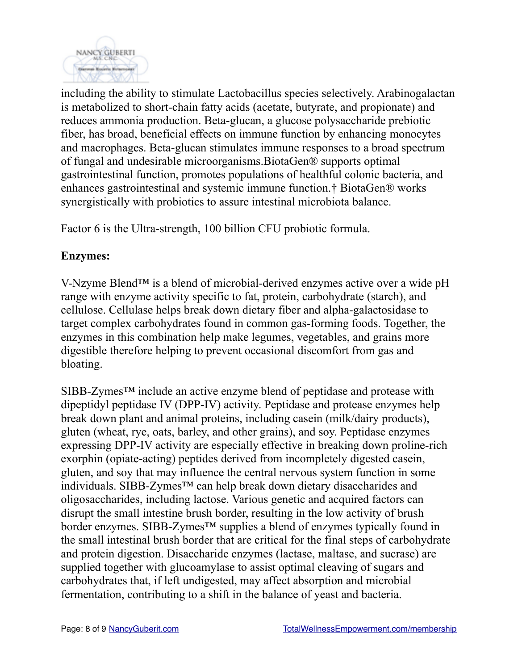

including the ability to stimulate Lactobacillus species selectively. Arabinogalactan is metabolized to short-chain fatty acids (acetate, butyrate, and propionate) and reduces ammonia production. Beta-glucan, a glucose polysaccharide prebiotic fiber, has broad, beneficial effects on immune function by enhancing monocytes and macrophages. Beta-glucan stimulates immune responses to a broad spectrum of fungal and undesirable microorganisms.BiotaGen® supports optimal gastrointestinal function, promotes populations of healthful colonic bacteria, and enhances gastrointestinal and systemic immune function.† BiotaGen® works synergistically with probiotics to assure intestinal microbiota balance.

Factor 6 is the Ultra-strength, 100 billion CFU probiotic formula.

### **Enzymes:**

V-Nzyme Blend™ is a blend of microbial-derived enzymes active over a wide pH range with enzyme activity specific to fat, protein, carbohydrate (starch), and cellulose. Cellulase helps break down dietary fiber and alpha-galactosidase to target complex carbohydrates found in common gas-forming foods. Together, the enzymes in this combination help make legumes, vegetables, and grains more digestible therefore helping to prevent occasional discomfort from gas and bloating.

SIBB-Zymes™ include an active enzyme blend of peptidase and protease with dipeptidyl peptidase IV (DPP-IV) activity. Peptidase and protease enzymes help break down plant and animal proteins, including casein (milk/dairy products), gluten (wheat, rye, oats, barley, and other grains), and soy. Peptidase enzymes expressing DPP-IV activity are especially effective in breaking down proline-rich exorphin (opiate-acting) peptides derived from incompletely digested casein, gluten, and soy that may influence the central nervous system function in some individuals. SIBB-Zymes™ can help break down dietary disaccharides and oligosaccharides, including lactose. Various genetic and acquired factors can disrupt the small intestine brush border, resulting in the low activity of brush border enzymes. SIBB-Zymes™ supplies a blend of enzymes typically found in the small intestinal brush border that are critical for the final steps of carbohydrate and protein digestion. Disaccharide enzymes (lactase, maltase, and sucrase) are supplied together with glucoamylase to assist optimal cleaving of sugars and carbohydrates that, if left undigested, may affect absorption and microbial fermentation, contributing to a shift in the balance of yeast and bacteria.